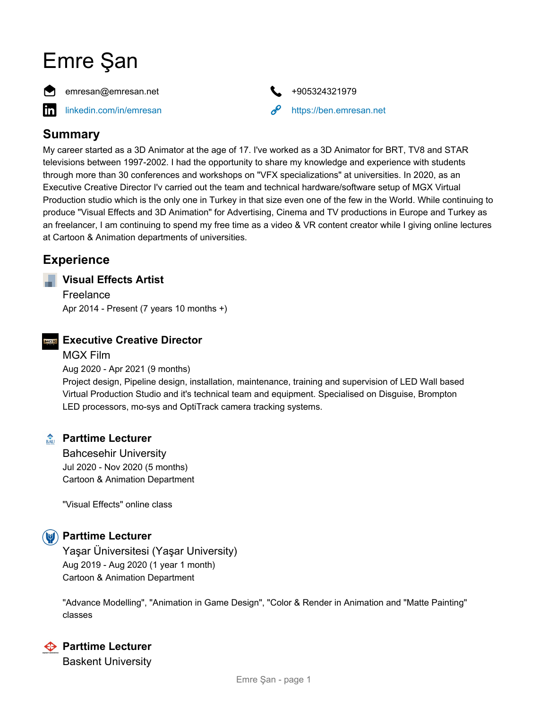# Emre Şan





# **Summary**

My career started as a 3D Animator at the age of 17. I've worked as a 3D Animator for BRT, TV8 and STAR televisions between 1997-2002. I had the opportunity to share my knowledge and experience with students through more than 30 conferences and workshops on "VFX specializations" at universities. In 2020, as an Executive Creative Director I'v carried out the team and technical hardware/software setup of MGX Virtual Production studio which is the only one in Turkey in that size even one of the few in the World. While continuing to produce "Visual Effects and 3D Animation" for Advertising, Cinema and TV productions in Europe and Turkey as an freelancer, I am continuing to spend my free time as a video & VR content creator while I giving online lectures at Cartoon & Animation departments of universities.

# **Experience**

# **Visual Effects Artist**

Freelance Apr 2014 - Present (7 years 10 months +)



# **Executive Creative Director**

MGX Film Aug 2020 - Apr 2021 (9 months) Project design, Pipeline design, installation, maintenance, training and supervision of LED Wall based Virtual Production Studio and it's technical team and equipment. Specialised on Disguise, Brompton LED processors, mo-sys and OptiTrack camera tracking systems.

# **Parttime Lecturer**

Bahcesehir University Jul 2020 - Nov 2020 (5 months) Cartoon & Animation Department

"Visual Effects" online class

# **<b>Parttime Lecturer**

Yaşar Üniversitesi (Yaşar University) Aug 2019 - Aug 2020 (1 year 1 month) Cartoon & Animation Department

"Advance Modelling", "Animation in Game Design", "Color & Render in Animation and "Matte Painting" classes



# **← Parttime Lecturer**

Baskent University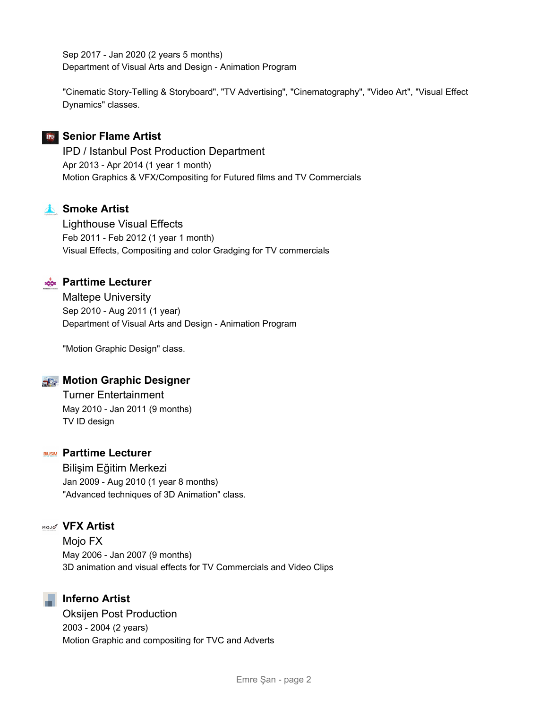Sep 2017 - Jan 2020 (2 years 5 months) Department of Visual Arts and Design - Animation Program

"Cinematic Story-Telling & Storyboard", "TV Advertising", "Cinematography", "Video Art", "Visual Effect Dynamics" classes.

# **FD** Senior Flame Artist

IPD / Istanbul Post Production Department Apr 2013 - Apr 2014 (1 year 1 month) Motion Graphics & VFX/Compositing for Futured films and TV Commercials

# **A** Smoke Artist

Lighthouse Visual Effects Feb 2011 - Feb 2012 (1 year 1 month) Visual Effects, Compositing and color Gradging for TV commercials



# **Parttime Lecturer**

Maltepe University Sep 2010 - Aug 2011 (1 year) Department of Visual Arts and Design - Animation Program

"Motion Graphic Design" class.

# **Motion Graphic Designer**

Turner Entertainment May 2010 - Jan 2011 (9 months) TV ID design

#### **PARTIME Lecturer**

Bilişim Eğitim Merkezi Jan 2009 - Aug 2010 (1 year 8 months) "Advanced techniques of 3D Animation" class.

# **MoJe<sup>x</sup> VFX** Artist

Mojo FX May 2006 - Jan 2007 (9 months) 3D animation and visual effects for TV Commercials and Video Clips

**Inferno Artist**

Oksijen Post Production 2003 - 2004 (2 years) Motion Graphic and compositing for TVC and Adverts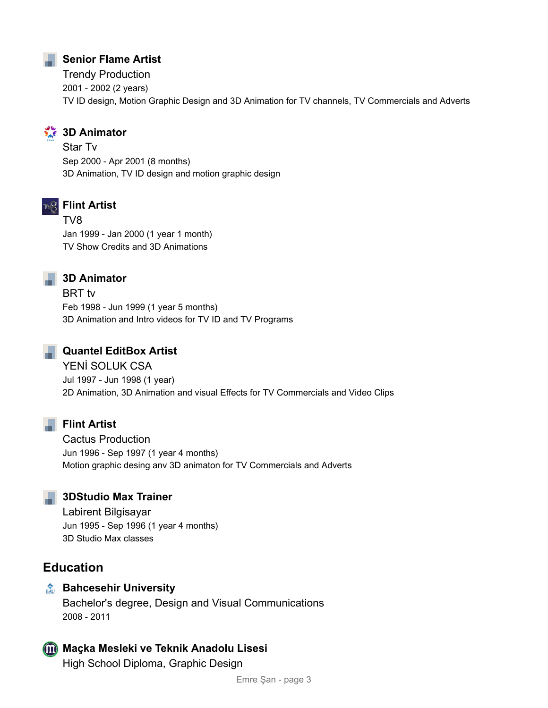# **Senior Flame Artist**

Trendy Production 2001 - 2002 (2 years) TV ID design, Motion Graphic Design and 3D Animation for TV channels, TV Commercials and Adverts

# **3D Animator**

Star Tv Sep 2000 - Apr 2001 (8 months) 3D Animation, TV ID design and motion graphic design



# **Flint Artist**

TV8 Jan 1999 - Jan 2000 (1 year 1 month) TV Show Credits and 3D Animations

# **3D Animator**

BRT tv Feb 1998 - Jun 1999 (1 year 5 months) 3D Animation and Intro videos for TV ID and TV Programs

# **Quantel EditBox Artist**

YENİ SOLUK CSA Jul 1997 - Jun 1998 (1 year) 2D Animation, 3D Animation and visual Effects for TV Commercials and Video Clips

# **Flint Artist**

Cactus Production Jun 1996 - Sep 1997 (1 year 4 months) Motion graphic desing anv 3D animaton for TV Commercials and Adverts

# **3DStudio Max Trainer**

Labirent Bilgisayar Jun 1995 - Sep 1996 (1 year 4 months) 3D Studio Max classes

# **Education**

# **Bahcesehir University**

Bachelor's degree, Design and Visual Communications 2008 - 2011

# **Maçka Mesleki ve Teknik Anadolu Lisesi**

High School Diploma, Graphic Design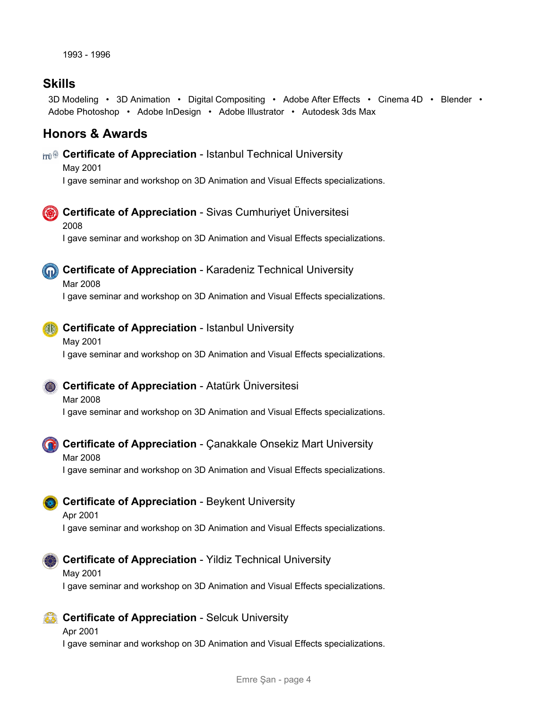# **Skills**

3D Modeling • 3D Animation • Digital Compositing • Adobe After Effects • Cinema 4D • Blender • Adobe Photoshop • Adobe InDesign • Adobe Illustrator • Autodesk 3ds Max

# **Honors & Awards**

#### **Certificate of Appreciation** - Istanbul Technical University

May 2001 I gave seminar and workshop on 3D Animation and Visual Effects specializations.



# **Certificate of Appreciation** - Sivas Cumhuriyet Üniversitesi

2008

I gave seminar and workshop on 3D Animation and Visual Effects specializations.



# **Certificate of Appreciation** - Karadeniz Technical University

Mar 2008

I gave seminar and workshop on 3D Animation and Visual Effects specializations.

# **Certificate of Appreciation** - Istanbul University

# May 2001

I gave seminar and workshop on 3D Animation and Visual Effects specializations.

# **Certificate of Appreciation** - Atatürk Üniversitesi

# Mar 2008

I gave seminar and workshop on 3D Animation and Visual Effects specializations.



# **Certificate of Appreciation** - Çanakkale Onsekiz Mart University

# Mar 2008

I gave seminar and workshop on 3D Animation and Visual Effects specializations.

# **Certificate of Appreciation** - Beykent University

#### Apr 2001 I gave seminar and workshop on 3D Animation and Visual Effects specializations.



# **Certificate of Appreciation** - Yildiz Technical University

# May 2001

I gave seminar and workshop on 3D Animation and Visual Effects specializations.

# **Certificate of Appreciation** - Selcuk University

#### Apr 2001

I gave seminar and workshop on 3D Animation and Visual Effects specializations.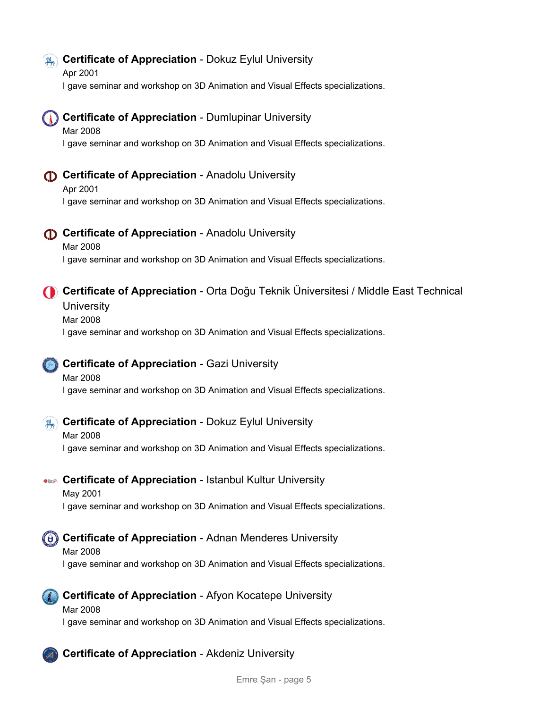# **Example 20 Certificate of Appreciation** - Dokuz Eylul University

Apr 2001 I gave seminar and workshop on 3D Animation and Visual Effects specializations.

# **Certificate of Appreciation** - Dumlupinar University

Mar 2008 I gave seminar and workshop on 3D Animation and Visual Effects specializations.

# **Certificate of Appreciation** - Anadolu University

Apr 2001 I gave seminar and workshop on 3D Animation and Visual Effects specializations.

**Certificate of Appreciation** - Anadolu University

Mar 2008 I gave seminar and workshop on 3D Animation and Visual Effects specializations.

# **Certificate of Appreciation** - Orta Doğu Teknik Üniversitesi / Middle East Technical **University**

Mar 2008

I gave seminar and workshop on 3D Animation and Visual Effects specializations.

# **Certificate of Appreciation** - Gazi University

# Mar 2008 I gave seminar and workshop on 3D Animation and Visual Effects specializations.

**Certificate of Appreciation** - Dokuz Eylul University

# Mar 2008 I gave seminar and workshop on 3D Animation and Visual Effects specializations.

**Certificate of Appreciation** - Istanbul Kultur University

May 2001 I gave seminar and workshop on 3D Animation and Visual Effects specializations.

**CET Certificate of Appreciation** - Adnan Menderes University

# Mar 2008

I gave seminar and workshop on 3D Animation and Visual Effects specializations.



# **Certificate of Appreciation** - Afyon Kocatepe University

# Mar 2008

I gave seminar and workshop on 3D Animation and Visual Effects specializations.

```
Certificate of Appreciation - Akdeniz University
```